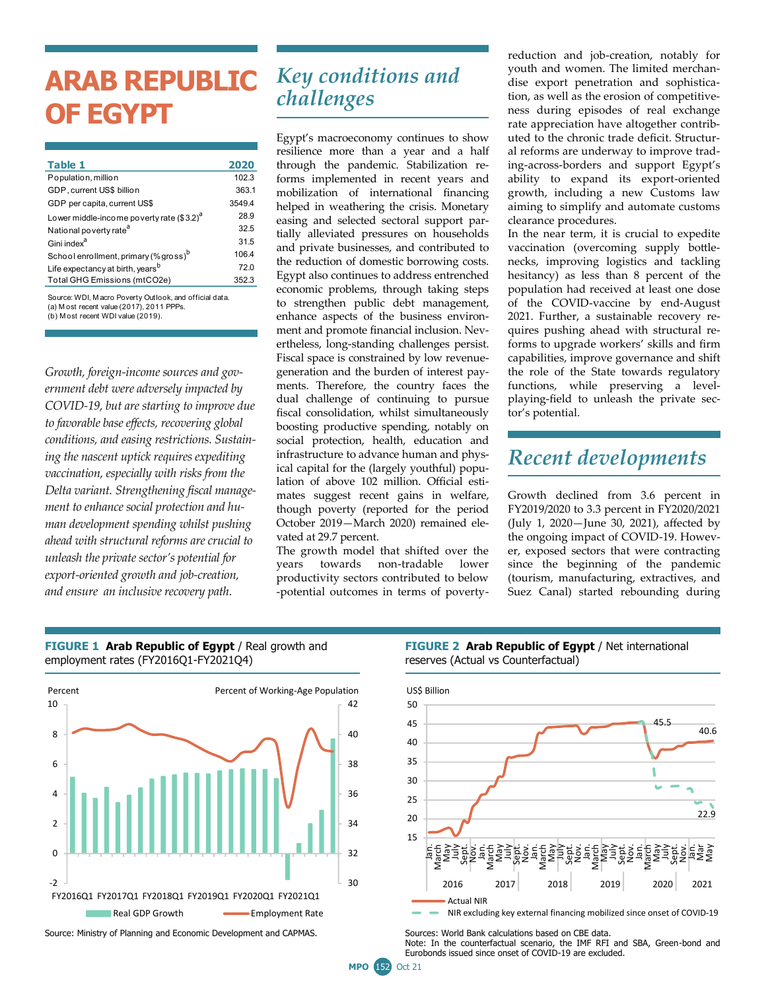# **ARAB REPUBLIC OF EGYPT**

| Table 1                                           | 2020   |
|---------------------------------------------------|--------|
| Population, million                               | 102.3  |
| GDP. current US\$ billion                         | 363.1  |
| GDP per capita, current US\$                      | 3549.4 |
| Lower middle-income poverty rate $(3.2)^d$        | 28.9   |
| National poverty rate <sup>a</sup>                | 32.5   |
| Gini index <sup>a</sup>                           | 31.5   |
| School enrollment. primary (% gross) <sup>b</sup> | 106.4  |
| Life expectancy at birth, years <sup>b</sup>      | 72.0   |
| Total GHG Emissions (mtCO2e)                      | 352.3  |
|                                                   |        |

(b) M ost recent WDI value (2019). Source: WDI, M acro Poverty Outlook, and official data. (a) M ost recent value (2017), 2011 PPPs.

*Growth, foreign-income sources and government debt were adversely impacted by COVID-19, but are starting to improve due to favorable base effects, recovering global conditions, and easing restrictions. Sustaining the nascent uptick requires expediting vaccination, especially with risks from the Delta variant. Strengthening fiscal management to enhance social protection and human development spending whilst pushing ahead with structural reforms are crucial to unleash the private sector's potential for export-oriented growth and job-creation, and ensure an inclusive recovery path.*

employment rates (FY2016Q1-FY2021Q4)

# *Key conditions and challenges*

Egypt's macroeconomy continues to show resilience more than a year and a half through the pandemic. Stabilization reforms implemented in recent years and mobilization of international financing helped in weathering the crisis. Monetary easing and selected sectoral support partially alleviated pressures on households and private businesses, and contributed to the reduction of domestic borrowing costs. Egypt also continues to address entrenched economic problems, through taking steps to strengthen public debt management, enhance aspects of the business environment and promote financial inclusion. Nevertheless, long-standing challenges persist. Fiscal space is constrained by low revenuegeneration and the burden of interest payments. Therefore, the country faces the dual challenge of continuing to pursue fiscal consolidation, whilst simultaneously boosting productive spending, notably on social protection, health, education and infrastructure to advance human and physical capital for the (largely youthful) population of above 102 million. Official estimates suggest recent gains in welfare, though poverty (reported for the period October 2019—March 2020) remained elevated at 29.7 percent.

The growth model that shifted over the years towards non-tradable lower productivity sectors contributed to below -potential outcomes in terms of povertyreduction and job-creation, notably for youth and women. The limited merchandise export penetration and sophistication, as well as the erosion of competitiveness during episodes of real exchange rate appreciation have altogether contributed to the chronic trade deficit. Structural reforms are underway to improve trading-across-borders and support Egypt's ability to expand its export-oriented growth, including a new Customs law aiming to simplify and automate customs clearance procedures.

In the near term, it is crucial to expedite vaccination (overcoming supply bottlenecks, improving logistics and tackling hesitancy) as less than 8 percent of the population had received at least one dose of the COVID-vaccine by end-August 2021. Further, a sustainable recovery requires pushing ahead with structural reforms to upgrade workers' skills and firm capabilities, improve governance and shift the role of the State towards regulatory functions, while preserving a levelplaying-field to unleash the private sector's potential.

### *Recent developments*

Growth declined from 3.6 percent in FY2019/2020 to 3.3 percent in FY2020/2021 (July 1, 2020—June 30, 2021), affected by the ongoing impact of COVID-19. However, exposed sectors that were contracting since the beginning of the pandemic (tourism, manufacturing, extractives, and Suez Canal) started rebounding during



**FIGURE 1 Arab Republic of Egypt / Real growth and** 

Source: Ministry of Planning and Economic Development and CAPMAS. Sources: World Bank calculations based on CBE data.

#### **FIGURE 2 Arab Republic of Egypt / Net international** reserves (Actual vs Counterfactual)



NIR excluding key external financing mobilized since onset of COVID-19

Note: In the counterfactual scenario, the IMF RFI and SBA, Green-bond and Eurobonds issued since onset of COVID-19 are excluded.